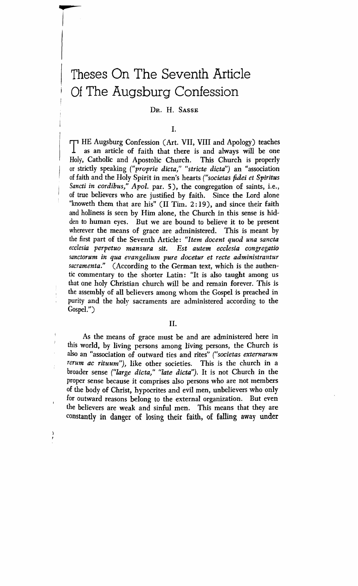# Theses On The Seventh Article Of The Augsburg Confession

DR. H. SASSE

 $\mathbf{I}$ .

HE Augsburg Confession (Art. VII, VIII and Apology) teaches as an article of faith that there is and always will be one Holy, Catholic and Apostolic Church. This Church is properly or strictly speaking *("proprie dicta," "stricte dicta")* an "association of faith and the Holy Spirit in men's hearts *("societas fidei et Spiritus Sancti in cordibus," Apol.* par. **5** ), the congregation of saints, i.e., of true believers who are justified by faith. Since the Lord alone "knoweth them that are his" (I1 Tim. 2: **19),** and since their faith and holiness is seen by Him alone, the Church in this sense is hidden to human eyes. But we are bound to believe it to be present wherever the means of grace are administered. This is meant by the first part of the Seventh Article: *"Item docent quod una sanctu ecclesia perpetuo mansura sit. Est autem ecclesia congregatio*  sanctorum in qua evangelium pure docetur et recte administrantur *sacraments."* (According to the German text, which is the authentic commentary to the shorter Latin: "It is also taught among us that one holy Christian church will be and remain forever. This is the assembly of all believers among whom the Gospel is preached in purity and the holy sacraments are administered according to the Gospel.")

## II.

As the means of grace must be and are administered here in this world, by living persons among living persons, the Church is also an "association of outward ties and rites" *("societas externarum rerum ac rituum"*), like other societies. This is the church in a broader sense *("large dicta," "late dicta")*. It is not Church in the proper sense because it comprises also persons who are not members of the body of Christ, hypocrites and evil men, unbelievers who only for outward reasons belong to the external organization. But even for outward reasons belong to the external organization. the believers are weak and sinful men. This means that they are constantly in danger of losing their faith, of falling away under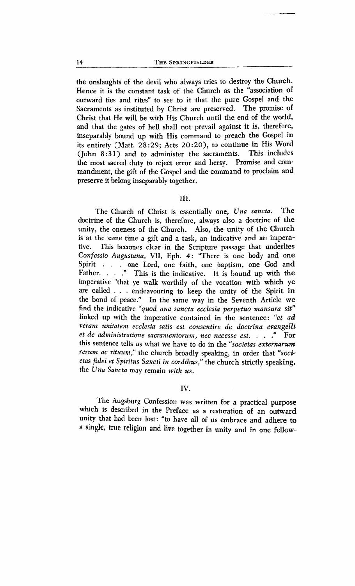the onslaughts of the devil who always tries to destroy the Church.<br>Hence it is the constant task of the Church as the "association of outward ties and rites" to see to it that the pure Gospel and the<br>Sacraments as instituted by Christ are preserved. The promise of<br>Christ that He will be with His Church until the end of the world, and that the gates of hell shall not prevail against it is, therefore,<br>inseparably bound up with His command to preach the Gospel in<br>its entirety (Matt. 28:29; Acts 20:20), to continue in His Word This includes  $(John 8:31)$  and to administer the sacraments. the most sacred duty to reject error and hersy. Fromise and com-<br>mandment, the gift of the Gospel and the command to proclaim and<br>preserve it belong inseparably together.

## III.

The Church of Christ is essentially one, *Una sancta*. The<br>doctrine of the Church is, therefore, always also a doctrine of the<br>tunity, the oneness of the Church. Also, the unity of the Church<br>is at the same time a gift an this sentence tells us what we have to do in the "societas externarum rerum ac rituum," the church broadly speaking, in order that "soci-<br>etas fidei et Spiritus Sancti in cordibus," the church strictly speaking, the Una Sancta may remain with us.

### IV.

The Augsburg Confession was written for a practical purpose which is described in the Preface as a restoration of an outward unity that had been lost: "to have all of us embrace and adhere to a single, true religion and live together in unity and in one fellow-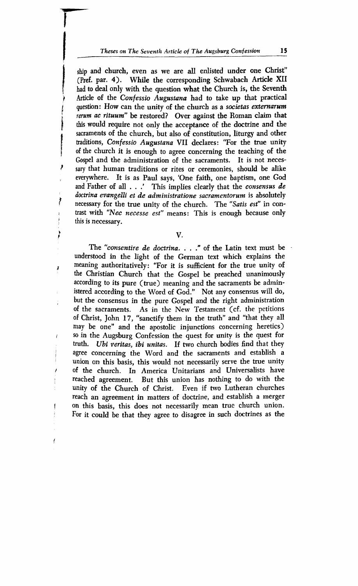**ship** and church, even as we are **all** enlisted under one Christ" **(Pref.** par. 4). While the corresponding Schwabach Article XI1 had to deal only with the question what the Church is, the Seventh Article of the C*onfessio Augustana* had to take up that practical question: How can the unity of the church as a s*ocietas externarum merum ac rituum*" be restored? Over against the Roman claim that this would require not only the acceptance of the doctrine and the sacraments of the church, but also of constitution, liturgy and other traditions, Confessio Augustana VII declares: "For the true unity of the church it is enough to agree concerning the teaching of the Gospel and the administration of the sacraments. It is not necessary that human traditions or rites or ceremonies, should be alike everywhere. It is as Paul says, 'One faith, one baptism, one God and Father of all  $\ldots$ . This implies clearly that the consensus de doctrina evangelli et de administratione sacramentorum is absolutely necessary for the true unity of the church. The "Satis est" in contrast with "Nec necesse est" means: This is enough because only this is necessary.

V.

The "consentire de doctrina, . . ." of the Latin text must **be**  understood in the light of the German text which explains the **<sup>J</sup>**meaning authoritatively: "For it is sufficient for the true unity of the Christian Church that the Gospel be preached unanimously according to its pure (true) meaning and the sacraments be administered according to the Word of God." Not any consensus will do, but the consensus in the pure Gospel and the right administration of the sacraments. As in the New Testament (cf. the petitions of Christ, John **17,** "sanctify them in the truth" and "that they all may be one" and the apostolic injunctions concerning heretics) *<sup>I</sup>*in the Augsburg Confession the quest for unity is the quest for truth. Ubi veritas, ibi unitas. If two church bodies find that they agree concerning the Word and the sacraments and establish a union on this basis, this would not necessarily serve the true unity of the church. In America Unitarians and Universalists have reached agreement. But this union has nothing to do with the unity of the Church of Christ. Even if two Lutheran churches reach an agreement in matters of doctrine, and establish a merger on this basis, this does not necessarily mean true church union. For it could be that they agree to disagree in such doctrines as the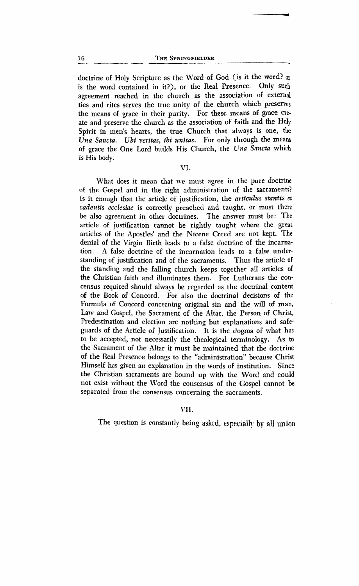doctrine of Holy Scripture as the Word of God (is it the word? or is the word contained in it?), or the Real Presence. Only such agreement reached in the church as the association of external ties and rites serves the true unity of the church which presemes the means of grace in their purity. For these means of grace create and preserve the church as the association of faith and the Holy Spirit in men's hearts, the true Church that always is one, the *Una Sancta. Ubi veritas, ibi unitas.* For only through the means of grace the One Lord builds His Church, the *Una Snncta* which is His body.

#### **VI** .

What does it mean that we must agree in the pure doctrine of the Gospel and in the right administration of the sacraments? Is it enough that the article of justification, the *articulus stuntis* et *cadentis ecclcsiae* is correctly peached and taught, or must there be also agreement in other doctrines. The answer must be: The article of justification cannot be rightly taught where the great articles of the Apostles' and the Nicene Creed are not kept. The denial of the Virgin Birth leads to a false doctrine of the incarnation. **A** false doctrine of the incarnation leads to a false understanding of justification and of the sacraments. Thus the article of the standing and the falling church keeps together a11 articles **of**  the Christian faith and illuminates them. For Lutherans the concensus required should always be regarded as the doctrinal content of the Book of Concord. For also the doctrinal decisions of the Formula of Concord concerning original sin and the will of man, Law and Gospel, the Sacrament of the Altar, the Person of Christ, Predestination and election are nothing but explanations and safeguards of the Article of Justification. It is the dogma of what has to be accepted, not necessarily the theological terminology. **As** to the Sacrament of the Altar it must be maintained that the doctrine of the Real Presence belongs to the "administration" because Christ Himself has given an explanation in the words of institution. Since the Christian sacraments are bound up with the Word and could not exist without the Word the consensus of the Gospel cannot be separated from the consensus concerning the sacraments.

The question is constantly being asked, especially by all union